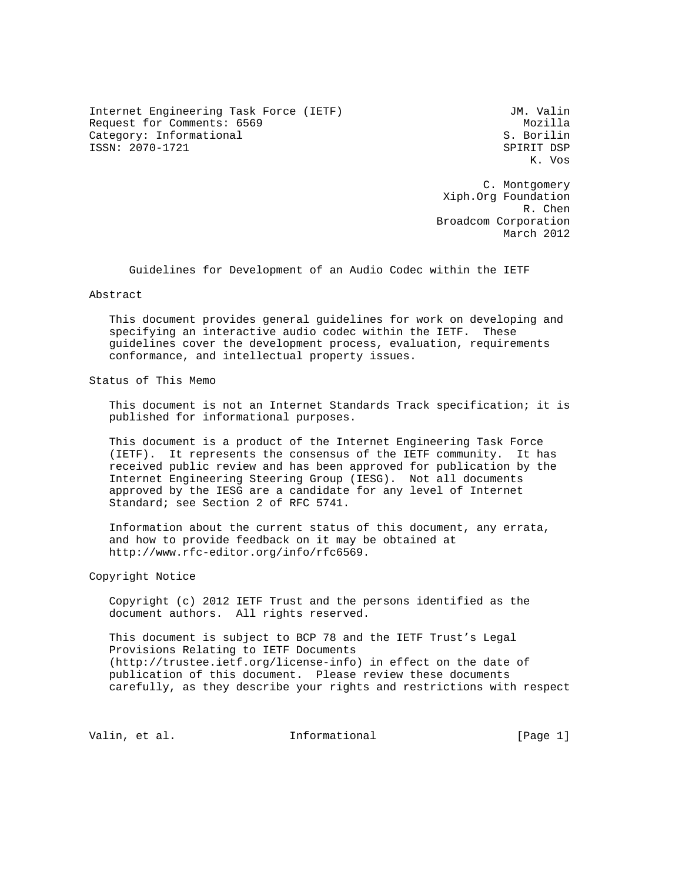Internet Engineering Task Force (IETF) Some Management Communist Communist Communist Communist Communist Communist Communist Communist Communist Communist Communist Communist Communist Communist Communist Communist Communi Request for Comments: 6569 Mozilla Category: Informational ISSN: 2070-1721 SPIRIT DSP

K. Vos

 C. Montgomery Xiph.Org Foundation R. Chen Broadcom Corporation March 2012

Guidelines for Development of an Audio Codec within the IETF

Abstract

 This document provides general guidelines for work on developing and specifying an interactive audio codec within the IETF. These guidelines cover the development process, evaluation, requirements conformance, and intellectual property issues.

Status of This Memo

 This document is not an Internet Standards Track specification; it is published for informational purposes.

 This document is a product of the Internet Engineering Task Force (IETF). It represents the consensus of the IETF community. It has received public review and has been approved for publication by the Internet Engineering Steering Group (IESG). Not all documents approved by the IESG are a candidate for any level of Internet Standard; see Section 2 of RFC 5741.

 Information about the current status of this document, any errata, and how to provide feedback on it may be obtained at http://www.rfc-editor.org/info/rfc6569.

Copyright Notice

 Copyright (c) 2012 IETF Trust and the persons identified as the document authors. All rights reserved.

 This document is subject to BCP 78 and the IETF Trust's Legal Provisions Relating to IETF Documents (http://trustee.ietf.org/license-info) in effect on the date of publication of this document. Please review these documents carefully, as they describe your rights and restrictions with respect

Valin, et al. Informational [Page 1]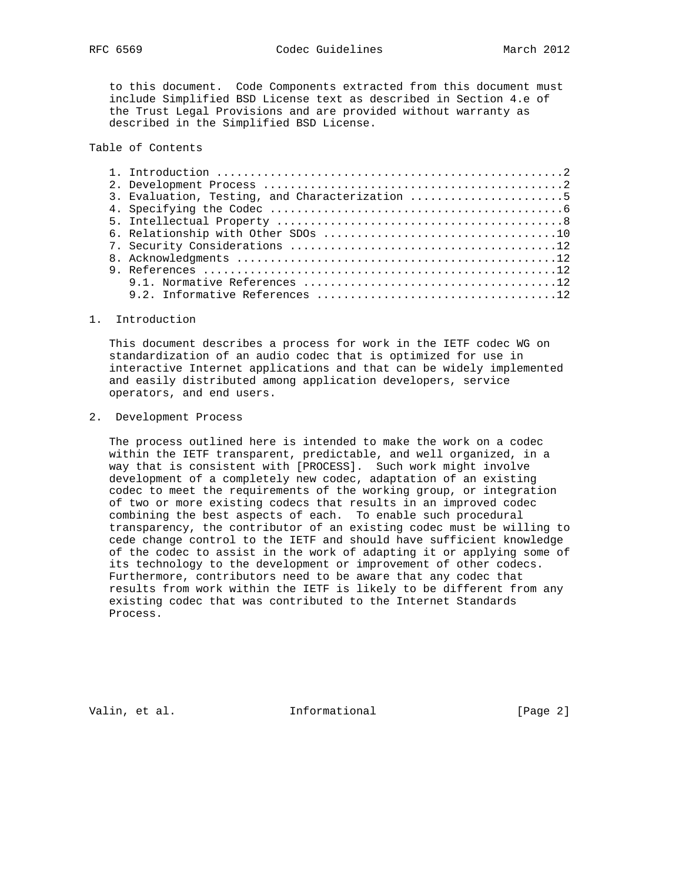to this document. Code Components extracted from this document must include Simplified BSD License text as described in Section 4.e of the Trust Legal Provisions and are provided without warranty as described in the Simplified BSD License.

## Table of Contents

| 3. Evaluation, Testing, and Characterization 5 |
|------------------------------------------------|
|                                                |
|                                                |
|                                                |
|                                                |
|                                                |
|                                                |
|                                                |
|                                                |

#### 1. Introduction

 This document describes a process for work in the IETF codec WG on standardization of an audio codec that is optimized for use in interactive Internet applications and that can be widely implemented and easily distributed among application developers, service operators, and end users.

### 2. Development Process

 The process outlined here is intended to make the work on a codec within the IETF transparent, predictable, and well organized, in a way that is consistent with [PROCESS]. Such work might involve development of a completely new codec, adaptation of an existing codec to meet the requirements of the working group, or integration of two or more existing codecs that results in an improved codec combining the best aspects of each. To enable such procedural transparency, the contributor of an existing codec must be willing to cede change control to the IETF and should have sufficient knowledge of the codec to assist in the work of adapting it or applying some of its technology to the development or improvement of other codecs. Furthermore, contributors need to be aware that any codec that results from work within the IETF is likely to be different from any existing codec that was contributed to the Internet Standards Process.

Valin, et al. 10 methormational 1999 [Page 2]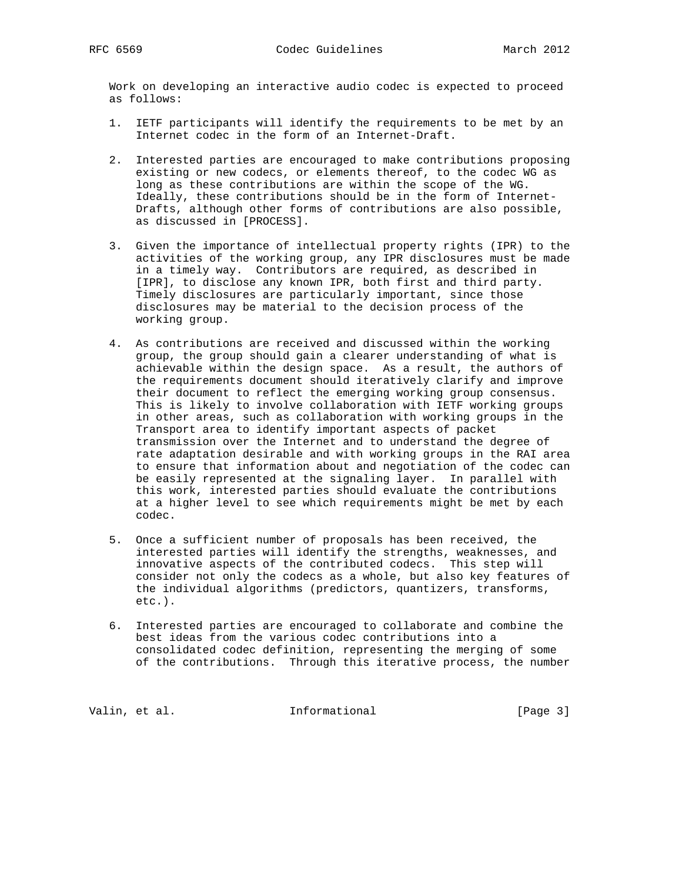Work on developing an interactive audio codec is expected to proceed as follows:

- 1. IETF participants will identify the requirements to be met by an Internet codec in the form of an Internet-Draft.
- 2. Interested parties are encouraged to make contributions proposing existing or new codecs, or elements thereof, to the codec WG as long as these contributions are within the scope of the WG. Ideally, these contributions should be in the form of Internet- Drafts, although other forms of contributions are also possible, as discussed in [PROCESS].
- 3. Given the importance of intellectual property rights (IPR) to the activities of the working group, any IPR disclosures must be made in a timely way. Contributors are required, as described in [IPR], to disclose any known IPR, both first and third party. Timely disclosures are particularly important, since those disclosures may be material to the decision process of the working group.
- 4. As contributions are received and discussed within the working group, the group should gain a clearer understanding of what is achievable within the design space. As a result, the authors of the requirements document should iteratively clarify and improve their document to reflect the emerging working group consensus. This is likely to involve collaboration with IETF working groups in other areas, such as collaboration with working groups in the Transport area to identify important aspects of packet transmission over the Internet and to understand the degree of rate adaptation desirable and with working groups in the RAI area to ensure that information about and negotiation of the codec can be easily represented at the signaling layer. In parallel with this work, interested parties should evaluate the contributions at a higher level to see which requirements might be met by each codec.
- 5. Once a sufficient number of proposals has been received, the interested parties will identify the strengths, weaknesses, and innovative aspects of the contributed codecs. This step will consider not only the codecs as a whole, but also key features of the individual algorithms (predictors, quantizers, transforms, etc.).
- 6. Interested parties are encouraged to collaborate and combine the best ideas from the various codec contributions into a consolidated codec definition, representing the merging of some of the contributions. Through this iterative process, the number

Valin, et al. 10 methormational 1999 [Page 3]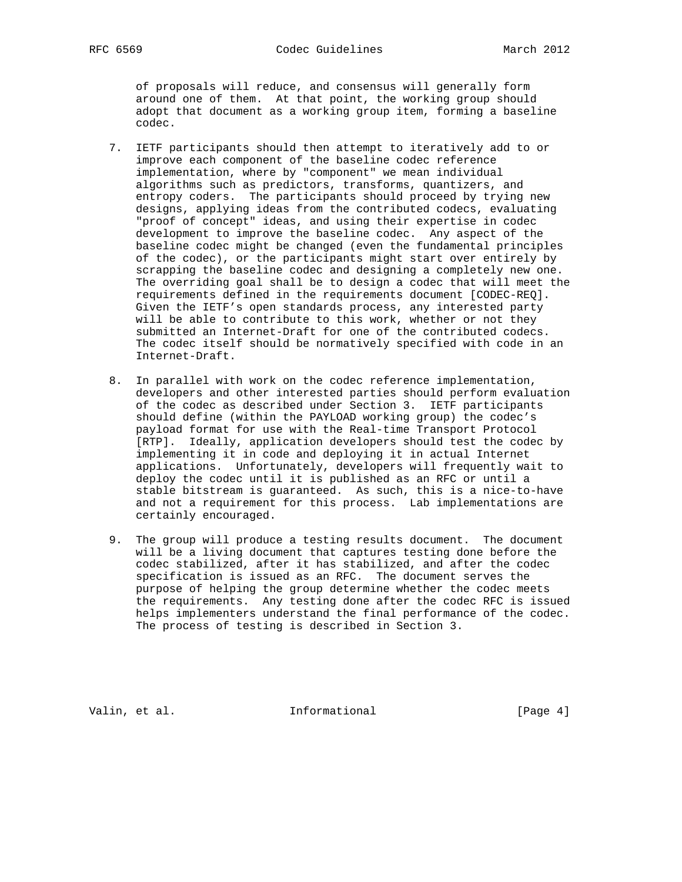of proposals will reduce, and consensus will generally form around one of them. At that point, the working group should adopt that document as a working group item, forming a baseline codec.

- 7. IETF participants should then attempt to iteratively add to or improve each component of the baseline codec reference implementation, where by "component" we mean individual algorithms such as predictors, transforms, quantizers, and entropy coders. The participants should proceed by trying new designs, applying ideas from the contributed codecs, evaluating "proof of concept" ideas, and using their expertise in codec development to improve the baseline codec. Any aspect of the baseline codec might be changed (even the fundamental principles of the codec), or the participants might start over entirely by scrapping the baseline codec and designing a completely new one. The overriding goal shall be to design a codec that will meet the requirements defined in the requirements document [CODEC-REQ]. Given the IETF's open standards process, any interested party will be able to contribute to this work, whether or not they submitted an Internet-Draft for one of the contributed codecs. The codec itself should be normatively specified with code in an Internet-Draft.
- 8. In parallel with work on the codec reference implementation, developers and other interested parties should perform evaluation of the codec as described under Section 3. IETF participants should define (within the PAYLOAD working group) the codec's payload format for use with the Real-time Transport Protocol [RTP]. Ideally, application developers should test the codec by implementing it in code and deploying it in actual Internet applications. Unfortunately, developers will frequently wait to deploy the codec until it is published as an RFC or until a stable bitstream is guaranteed. As such, this is a nice-to-have and not a requirement for this process. Lab implementations are certainly encouraged.
- 9. The group will produce a testing results document. The document will be a living document that captures testing done before the codec stabilized, after it has stabilized, and after the codec specification is issued as an RFC. The document serves the purpose of helping the group determine whether the codec meets the requirements. Any testing done after the codec RFC is issued helps implementers understand the final performance of the codec. The process of testing is described in Section 3.

Valin, et al.  $\qquad \qquad$  Informational  $[Page 4]$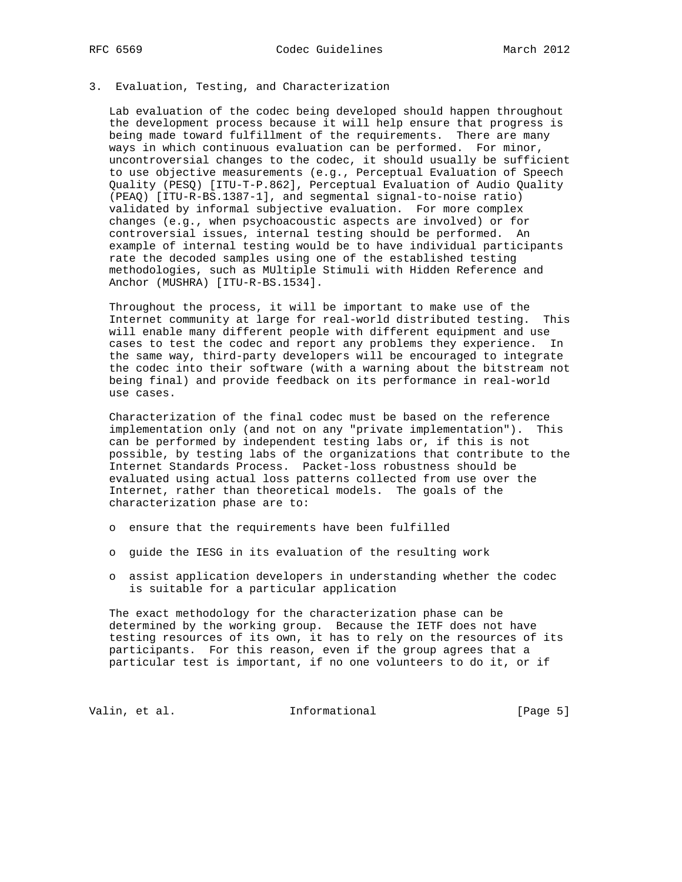# 3. Evaluation, Testing, and Characterization

 Lab evaluation of the codec being developed should happen throughout the development process because it will help ensure that progress is being made toward fulfillment of the requirements. There are many ways in which continuous evaluation can be performed. For minor, uncontroversial changes to the codec, it should usually be sufficient to use objective measurements (e.g., Perceptual Evaluation of Speech Quality (PESQ) [ITU-T-P.862], Perceptual Evaluation of Audio Quality (PEAQ) [ITU-R-BS.1387-1], and segmental signal-to-noise ratio) validated by informal subjective evaluation. For more complex changes (e.g., when psychoacoustic aspects are involved) or for controversial issues, internal testing should be performed. An example of internal testing would be to have individual participants rate the decoded samples using one of the established testing methodologies, such as MUltiple Stimuli with Hidden Reference and Anchor (MUSHRA) [ITU-R-BS.1534].

 Throughout the process, it will be important to make use of the Internet community at large for real-world distributed testing. This will enable many different people with different equipment and use cases to test the codec and report any problems they experience. In the same way, third-party developers will be encouraged to integrate the codec into their software (with a warning about the bitstream not being final) and provide feedback on its performance in real-world use cases.

 Characterization of the final codec must be based on the reference implementation only (and not on any "private implementation"). This can be performed by independent testing labs or, if this is not possible, by testing labs of the organizations that contribute to the Internet Standards Process. Packet-loss robustness should be evaluated using actual loss patterns collected from use over the Internet, rather than theoretical models. The goals of the characterization phase are to:

- o ensure that the requirements have been fulfilled
- o guide the IESG in its evaluation of the resulting work
- o assist application developers in understanding whether the codec is suitable for a particular application

 The exact methodology for the characterization phase can be determined by the working group. Because the IETF does not have testing resources of its own, it has to rely on the resources of its participants. For this reason, even if the group agrees that a particular test is important, if no one volunteers to do it, or if

Valin, et al. 1nformational 1999 [Page 5]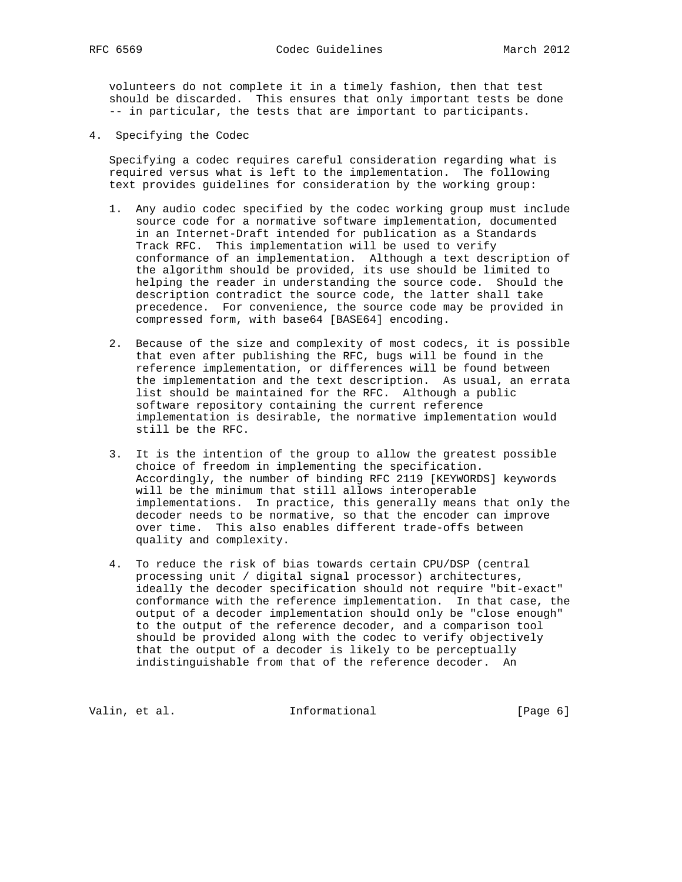volunteers do not complete it in a timely fashion, then that test should be discarded. This ensures that only important tests be done -- in particular, the tests that are important to participants.

4. Specifying the Codec

 Specifying a codec requires careful consideration regarding what is required versus what is left to the implementation. The following text provides guidelines for consideration by the working group:

- 1. Any audio codec specified by the codec working group must include source code for a normative software implementation, documented in an Internet-Draft intended for publication as a Standards Track RFC. This implementation will be used to verify conformance of an implementation. Although a text description of the algorithm should be provided, its use should be limited to helping the reader in understanding the source code. Should the description contradict the source code, the latter shall take precedence. For convenience, the source code may be provided in compressed form, with base64 [BASE64] encoding.
- 2. Because of the size and complexity of most codecs, it is possible that even after publishing the RFC, bugs will be found in the reference implementation, or differences will be found between the implementation and the text description. As usual, an errata list should be maintained for the RFC. Although a public software repository containing the current reference implementation is desirable, the normative implementation would still be the RFC.
- 3. It is the intention of the group to allow the greatest possible choice of freedom in implementing the specification. Accordingly, the number of binding RFC 2119 [KEYWORDS] keywords will be the minimum that still allows interoperable implementations. In practice, this generally means that only the decoder needs to be normative, so that the encoder can improve over time. This also enables different trade-offs between quality and complexity.
- 4. To reduce the risk of bias towards certain CPU/DSP (central processing unit / digital signal processor) architectures, ideally the decoder specification should not require "bit-exact" conformance with the reference implementation. In that case, the output of a decoder implementation should only be "close enough" to the output of the reference decoder, and a comparison tool should be provided along with the codec to verify objectively that the output of a decoder is likely to be perceptually indistinguishable from that of the reference decoder. An

Valin, et al. 10 methormational 1999 [Page 6]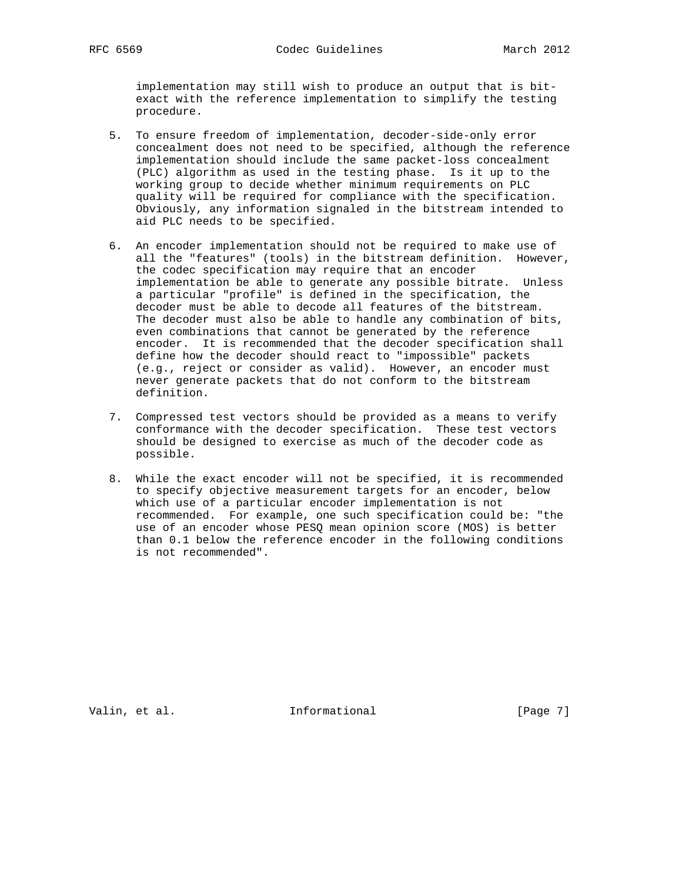implementation may still wish to produce an output that is bit exact with the reference implementation to simplify the testing procedure.

- 5. To ensure freedom of implementation, decoder-side-only error concealment does not need to be specified, although the reference implementation should include the same packet-loss concealment (PLC) algorithm as used in the testing phase. Is it up to the working group to decide whether minimum requirements on PLC quality will be required for compliance with the specification. Obviously, any information signaled in the bitstream intended to aid PLC needs to be specified.
- 6. An encoder implementation should not be required to make use of all the "features" (tools) in the bitstream definition. However, the codec specification may require that an encoder implementation be able to generate any possible bitrate. Unless a particular "profile" is defined in the specification, the decoder must be able to decode all features of the bitstream. The decoder must also be able to handle any combination of bits, even combinations that cannot be generated by the reference encoder. It is recommended that the decoder specification shall define how the decoder should react to "impossible" packets (e.g., reject or consider as valid). However, an encoder must never generate packets that do not conform to the bitstream definition.
- 7. Compressed test vectors should be provided as a means to verify conformance with the decoder specification. These test vectors should be designed to exercise as much of the decoder code as possible.
- 8. While the exact encoder will not be specified, it is recommended to specify objective measurement targets for an encoder, below which use of a particular encoder implementation is not recommended. For example, one such specification could be: "the use of an encoder whose PESQ mean opinion score (MOS) is better than 0.1 below the reference encoder in the following conditions is not recommended".

Valin, et al. 10 methormational 1999 [Page 7]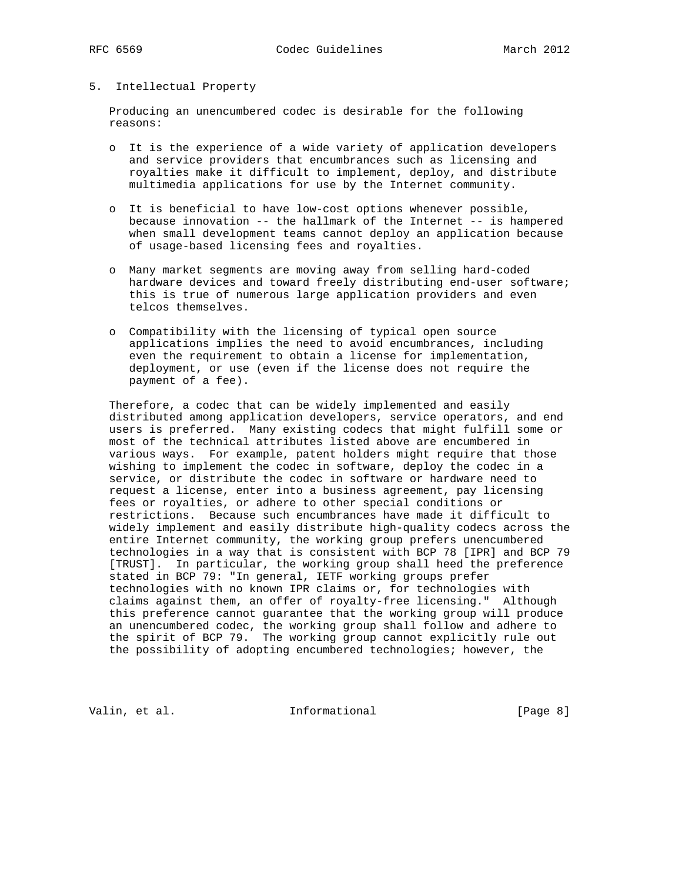### 5. Intellectual Property

 Producing an unencumbered codec is desirable for the following reasons:

- o It is the experience of a wide variety of application developers and service providers that encumbrances such as licensing and royalties make it difficult to implement, deploy, and distribute multimedia applications for use by the Internet community.
- o It is beneficial to have low-cost options whenever possible, because innovation -- the hallmark of the Internet -- is hampered when small development teams cannot deploy an application because of usage-based licensing fees and royalties.
- o Many market segments are moving away from selling hard-coded hardware devices and toward freely distributing end-user software; this is true of numerous large application providers and even telcos themselves.
- o Compatibility with the licensing of typical open source applications implies the need to avoid encumbrances, including even the requirement to obtain a license for implementation, deployment, or use (even if the license does not require the payment of a fee).

 Therefore, a codec that can be widely implemented and easily distributed among application developers, service operators, and end users is preferred. Many existing codecs that might fulfill some or most of the technical attributes listed above are encumbered in various ways. For example, patent holders might require that those wishing to implement the codec in software, deploy the codec in a service, or distribute the codec in software or hardware need to request a license, enter into a business agreement, pay licensing fees or royalties, or adhere to other special conditions or restrictions. Because such encumbrances have made it difficult to widely implement and easily distribute high-quality codecs across the entire Internet community, the working group prefers unencumbered technologies in a way that is consistent with BCP 78 [IPR] and BCP 79 [TRUST]. In particular, the working group shall heed the preference stated in BCP 79: "In general, IETF working groups prefer technologies with no known IPR claims or, for technologies with claims against them, an offer of royalty-free licensing." Although this preference cannot guarantee that the working group will produce an unencumbered codec, the working group shall follow and adhere to the spirit of BCP 79. The working group cannot explicitly rule out the possibility of adopting encumbered technologies; however, the

Valin, et al. 10 methormational 10 methormational [Page 8]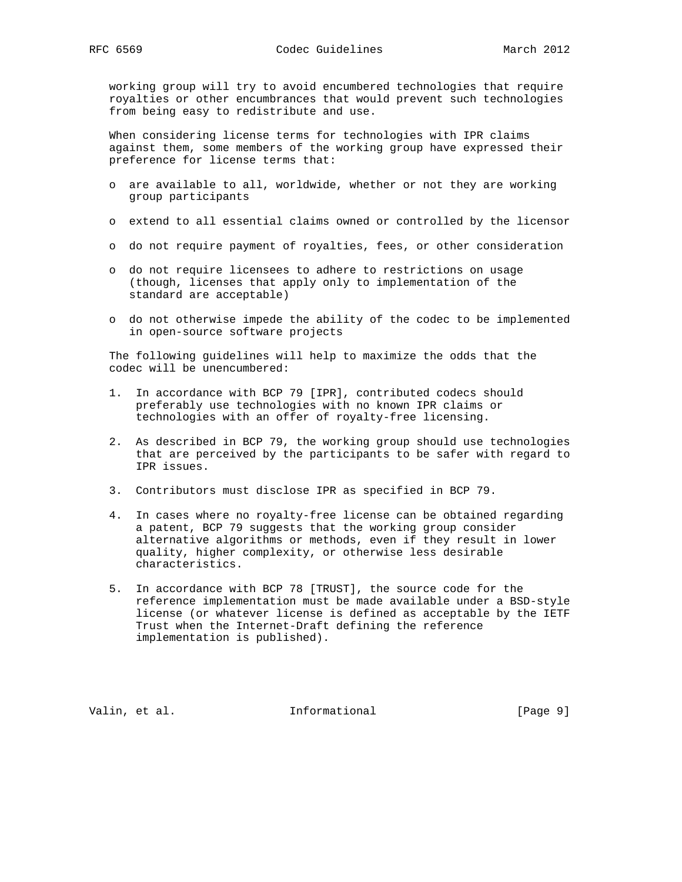working group will try to avoid encumbered technologies that require royalties or other encumbrances that would prevent such technologies from being easy to redistribute and use.

 When considering license terms for technologies with IPR claims against them, some members of the working group have expressed their preference for license terms that:

- o are available to all, worldwide, whether or not they are working group participants
- o extend to all essential claims owned or controlled by the licensor
- o do not require payment of royalties, fees, or other consideration
- o do not require licensees to adhere to restrictions on usage (though, licenses that apply only to implementation of the standard are acceptable)
- o do not otherwise impede the ability of the codec to be implemented in open-source software projects

 The following guidelines will help to maximize the odds that the codec will be unencumbered:

- 1. In accordance with BCP 79 [IPR], contributed codecs should preferably use technologies with no known IPR claims or technologies with an offer of royalty-free licensing.
- 2. As described in BCP 79, the working group should use technologies that are perceived by the participants to be safer with regard to IPR issues.
- 3. Contributors must disclose IPR as specified in BCP 79.
- 4. In cases where no royalty-free license can be obtained regarding a patent, BCP 79 suggests that the working group consider alternative algorithms or methods, even if they result in lower quality, higher complexity, or otherwise less desirable characteristics.
- 5. In accordance with BCP 78 [TRUST], the source code for the reference implementation must be made available under a BSD-style license (or whatever license is defined as acceptable by the IETF Trust when the Internet-Draft defining the reference implementation is published).

Valin, et al. 10 1nformational 1999 [Page 9]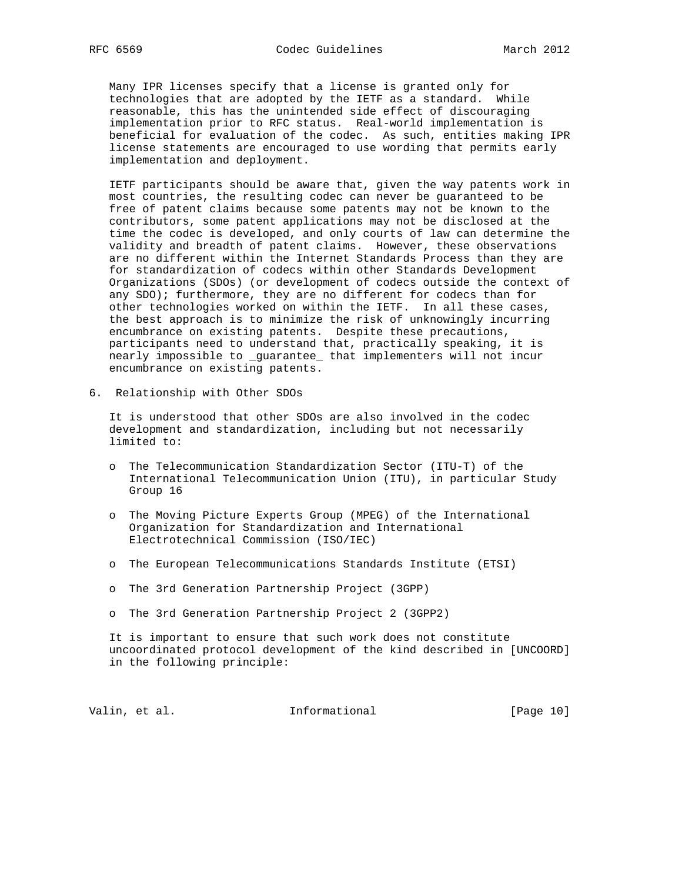Many IPR licenses specify that a license is granted only for technologies that are adopted by the IETF as a standard. While reasonable, this has the unintended side effect of discouraging implementation prior to RFC status. Real-world implementation is beneficial for evaluation of the codec. As such, entities making IPR license statements are encouraged to use wording that permits early implementation and deployment.

 IETF participants should be aware that, given the way patents work in most countries, the resulting codec can never be guaranteed to be free of patent claims because some patents may not be known to the contributors, some patent applications may not be disclosed at the time the codec is developed, and only courts of law can determine the validity and breadth of patent claims. However, these observations are no different within the Internet Standards Process than they are for standardization of codecs within other Standards Development Organizations (SDOs) (or development of codecs outside the context of any  $SDO$ ); furthermore, they are no different for codecs than for other technologies worked on within the IETF. In all these cases, the best approach is to minimize the risk of unknowingly incurring encumbrance on existing patents. Despite these precautions, participants need to understand that, practically speaking, it is nearly impossible to \_guarantee\_ that implementers will not incur encumbrance on existing patents.

6. Relationship with Other SDOs

 It is understood that other SDOs are also involved in the codec development and standardization, including but not necessarily limited to:

- o The Telecommunication Standardization Sector (ITU-T) of the International Telecommunication Union (ITU), in particular Study Group 16
- o The Moving Picture Experts Group (MPEG) of the International Organization for Standardization and International Electrotechnical Commission (ISO/IEC)
- o The European Telecommunications Standards Institute (ETSI)
- o The 3rd Generation Partnership Project (3GPP)
- o The 3rd Generation Partnership Project 2 (3GPP2)

 It is important to ensure that such work does not constitute uncoordinated protocol development of the kind described in [UNCOORD] in the following principle:

Valin, et al. 10 methormational [Page 10]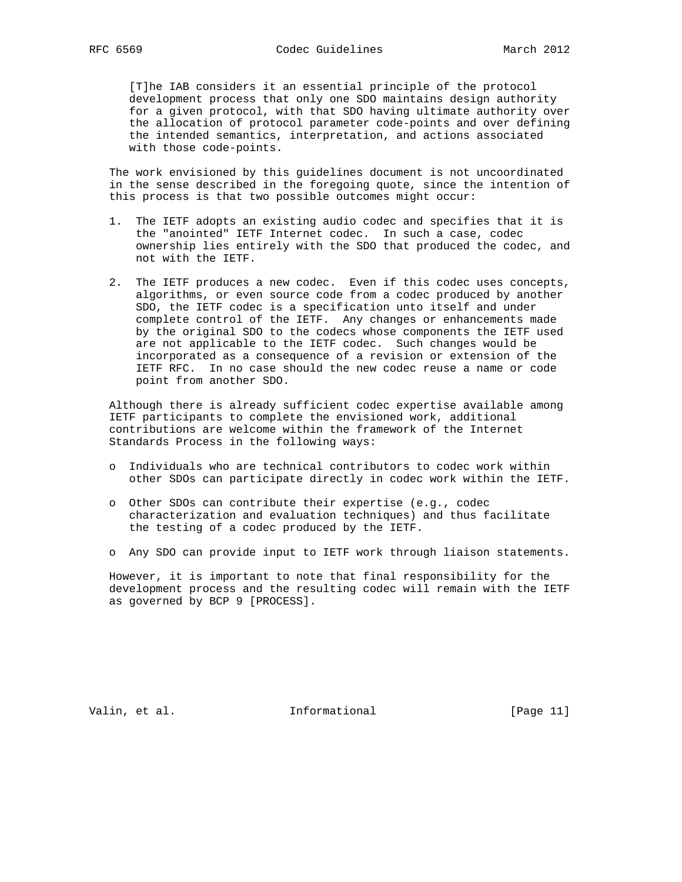[T]he IAB considers it an essential principle of the protocol development process that only one SDO maintains design authority for a given protocol, with that SDO having ultimate authority over the allocation of protocol parameter code-points and over defining the intended semantics, interpretation, and actions associated with those code-points.

 The work envisioned by this guidelines document is not uncoordinated in the sense described in the foregoing quote, since the intention of this process is that two possible outcomes might occur:

- 1. The IETF adopts an existing audio codec and specifies that it is the "anointed" IETF Internet codec. In such a case, codec ownership lies entirely with the SDO that produced the codec, and not with the IETF.
- 2. The IETF produces a new codec. Even if this codec uses concepts, algorithms, or even source code from a codec produced by another SDO, the IETF codec is a specification unto itself and under complete control of the IETF. Any changes or enhancements made by the original SDO to the codecs whose components the IETF used are not applicable to the IETF codec. Such changes would be incorporated as a consequence of a revision or extension of the IETF RFC. In no case should the new codec reuse a name or code point from another SDO.

 Although there is already sufficient codec expertise available among IETF participants to complete the envisioned work, additional contributions are welcome within the framework of the Internet Standards Process in the following ways:

- o Individuals who are technical contributors to codec work within other SDOs can participate directly in codec work within the IETF.
- o Other SDOs can contribute their expertise (e.g., codec characterization and evaluation techniques) and thus facilitate the testing of a codec produced by the IETF.
- o Any SDO can provide input to IETF work through liaison statements.

 However, it is important to note that final responsibility for the development process and the resulting codec will remain with the IETF as governed by BCP 9 [PROCESS].

Valin, et al. 10. Informational 1. [Page 11]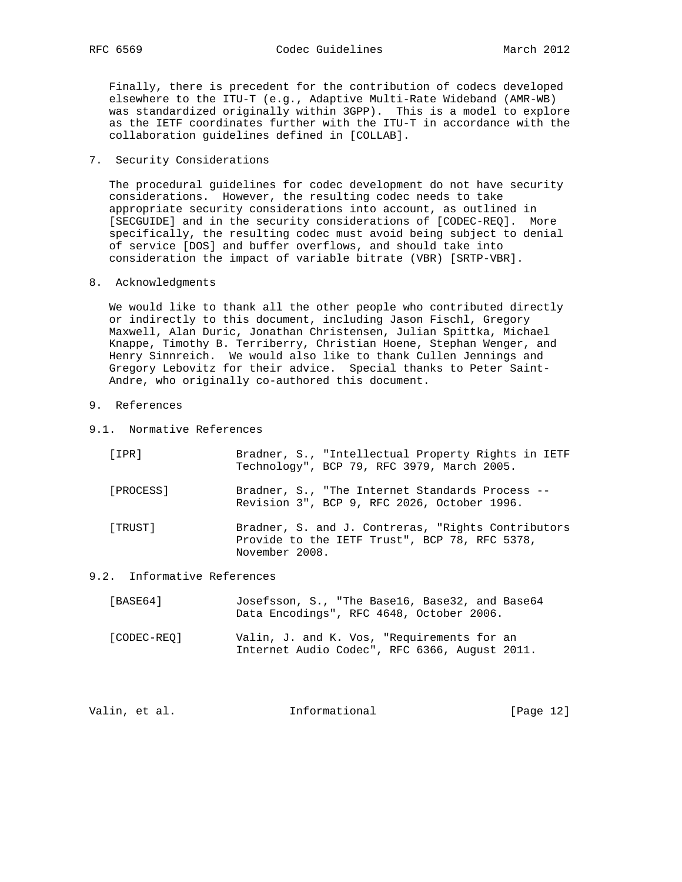Finally, there is precedent for the contribution of codecs developed elsewhere to the ITU-T (e.g., Adaptive Multi-Rate Wideband (AMR-WB) was standardized originally within 3GPP). This is a model to explore as the IETF coordinates further with the ITU-T in accordance with the collaboration guidelines defined in [COLLAB].

7. Security Considerations

 The procedural guidelines for codec development do not have security considerations. However, the resulting codec needs to take appropriate security considerations into account, as outlined in [SECGUIDE] and in the security considerations of [CODEC-REQ]. More specifically, the resulting codec must avoid being subject to denial of service [DOS] and buffer overflows, and should take into consideration the impact of variable bitrate (VBR) [SRTP-VBR].

8. Acknowledgments

 We would like to thank all the other people who contributed directly or indirectly to this document, including Jason Fischl, Gregory Maxwell, Alan Duric, Jonathan Christensen, Julian Spittka, Michael Knappe, Timothy B. Terriberry, Christian Hoene, Stephan Wenger, and Henry Sinnreich. We would also like to thank Cullen Jennings and Gregory Lebovitz for their advice. Special thanks to Peter Saint- Andre, who originally co-authored this document.

- 9. References
- 9.1. Normative References

| [IPR]     | Bradner, S., "Intellectual Property Rights in IETF<br>Technology", BCP 79, RFC 3979, March 2005.                       |
|-----------|------------------------------------------------------------------------------------------------------------------------|
| [PROCESS] | Bradner, S., "The Internet Standards Process --<br>Revision 3", BCP 9, RFC 2026, October 1996.                         |
| [ TRUST ] | Bradner, S. and J. Contreras, "Rights Contributors"<br>Provide to the IETF Trust", BCP 78, RFC 5378,<br>November 2008. |

### 9.2. Informative References

| [BASE64] |  |  | Josefsson, S., "The Base16, Base32, and Base64 |  |
|----------|--|--|------------------------------------------------|--|
|          |  |  | Data Encodings", RFC 4648, October 2006.       |  |

 [CODEC-REQ] Valin, J. and K. Vos, "Requirements for an Internet Audio Codec", RFC 6366, August 2011.

| Valin, et al.<br>Informational | [Page $12$ ] |
|--------------------------------|--------------|
|--------------------------------|--------------|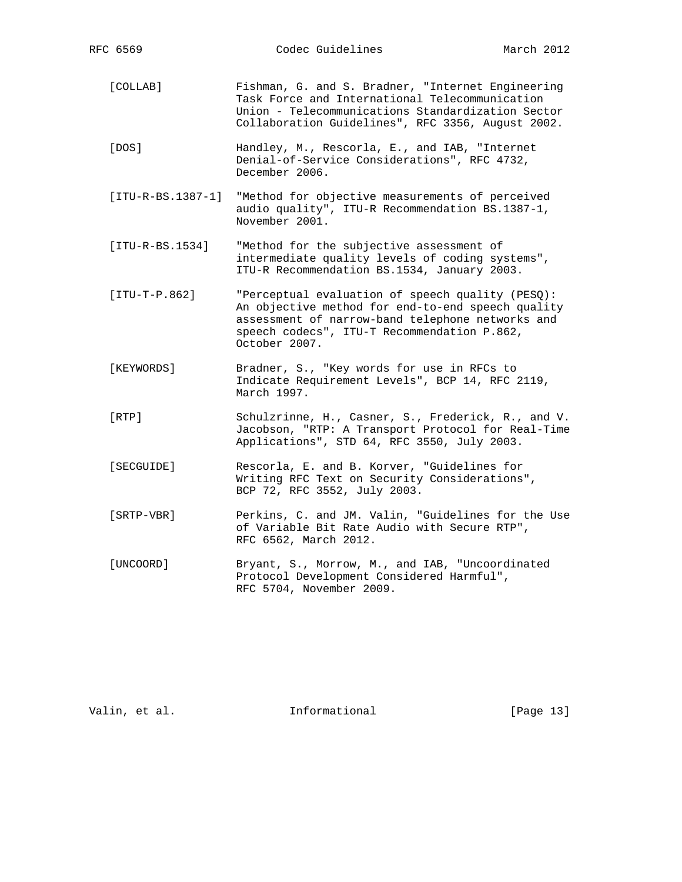- [COLLAB] Fishman, G. and S. Bradner, "Internet Engineering Task Force and International Telecommunication Union - Telecommunications Standardization Sector Collaboration Guidelines", RFC 3356, August 2002.
- [DOS] Handley, M., Rescorla, E., and IAB, "Internet Denial-of-Service Considerations", RFC 4732, December 2006.
- [ITU-R-BS.1387-1] "Method for objective measurements of perceived audio quality", ITU-R Recommendation BS.1387-1, November 2001.
- [ITU-R-BS.1534] "Method for the subjective assessment of intermediate quality levels of coding systems", ITU-R Recommendation BS.1534, January 2003.
- [ITU-T-P.862] "Perceptual evaluation of speech quality (PESQ): An objective method for end-to-end speech quality assessment of narrow-band telephone networks and speech codecs", ITU-T Recommendation P.862, October 2007.
- [KEYWORDS] Bradner, S., "Key words for use in RFCs to Indicate Requirement Levels", BCP 14, RFC 2119, March 1997.
- [RTP] Schulzrinne, H., Casner, S., Frederick, R., and V. Jacobson, "RTP: A Transport Protocol for Real-Time Applications", STD 64, RFC 3550, July 2003.
- [SECGUIDE] Rescorla, E. and B. Korver, "Guidelines for Writing RFC Text on Security Considerations", BCP 72, RFC 3552, July 2003.
- [SRTP-VBR] Perkins, C. and JM. Valin, "Guidelines for the Use of Variable Bit Rate Audio with Secure RTP", RFC 6562, March 2012.
- [UNCOORD] Bryant, S., Morrow, M., and IAB, "Uncoordinated Protocol Development Considered Harmful", RFC 5704, November 2009.

Valin, et al. 10 methormational [Page 13]